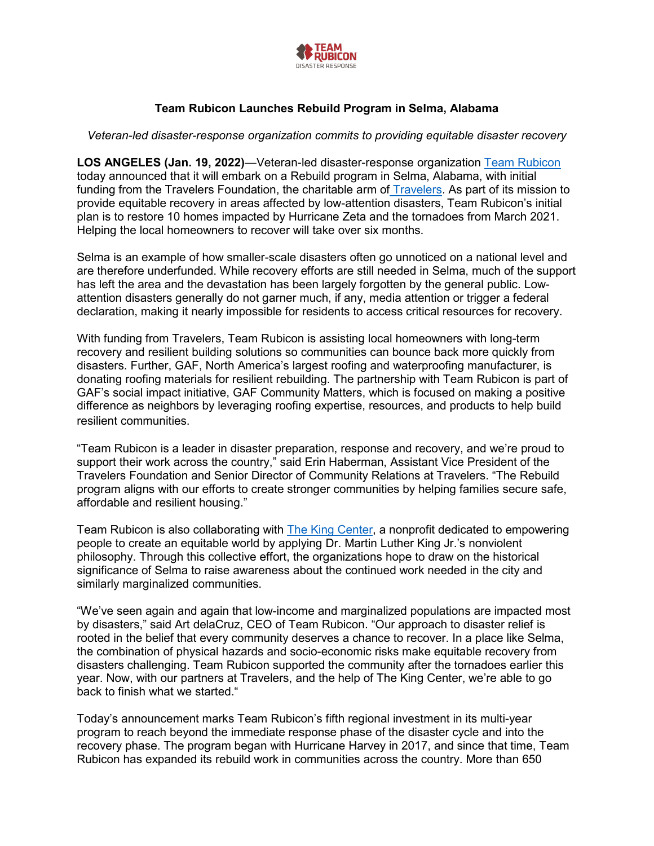

## **Team Rubicon Launches Rebuild Program in Selma, Alabama**

*Veteran-led disaster-response organization commits to providing equitable disaster recovery*

**LOS ANGELES (Jan. 19, 2022)**—Veteran-led disaster-response organization [Team Rubicon](https://teamrubiconusa.org/) today announced that it will embark on a Rebuild program in Selma, Alabama, with initial funding from the Travelers Foundation, the charitable arm of [Travelers.](https://travelers.com/) As part of its mission to provide equitable recovery in areas affected by low-attention disasters, Team Rubicon's initial plan is to restore 10 homes impacted by Hurricane Zeta and the tornadoes from March 2021. Helping the local homeowners to recover will take over six months.

Selma is an example of how smaller-scale disasters often go unnoticed on a national level and are therefore underfunded. While recovery efforts are still needed in Selma, much of the support has left the area and the devastation has been largely forgotten by the general public. Lowattention disasters generally do not garner much, if any, media attention or trigger a federal declaration, making it nearly impossible for residents to access critical resources for recovery.

With funding from Travelers, Team Rubicon is assisting local homeowners with long-term recovery and resilient building solutions so communities can bounce back more quickly from disasters. Further, GAF, North America's largest roofing and waterproofing manufacturer, is donating roofing materials for resilient rebuilding. The partnership with Team Rubicon is part of GAF's social impact initiative, [GAF Community Matters,](https://www.gaf.com/en-us/about-us/community) which is focused on making a positive difference as neighbors by leveraging roofing expertise, resources, and products to help build resilient communities.

"Team Rubicon is a leader in disaster preparation, response and recovery, and we're proud to support their work across the country," said Erin Haberman, Assistant Vice President of the Travelers Foundation and Senior Director of Community Relations at Travelers. "The Rebuild program aligns with our efforts to create stronger communities by helping families secure safe, affordable and resilient housing."

Team Rubicon is also collaborating with [The King Center,](https://thekingcenter.org/) a nonprofit dedicated to empowering people to create an equitable world by applying Dr. Martin Luther King Jr.'s nonviolent philosophy. Through this collective effort, the organizations hope to draw on the historical significance of Selma to raise awareness about the continued work needed in the city and similarly marginalized communities.

"We've seen again and again that low-income and marginalized populations are impacted most by disasters," said Art delaCruz, CEO of Team Rubicon. "Our approach to disaster relief is rooted in the belief that every community deserves a chance to recover. In a place like Selma, the combination of physical hazards and socio-economic risks make equitable recovery from disasters challenging. Team Rubicon supported the community after the tornadoes earlier this year. Now, with our partners at Travelers, and the help of The King Center, we're able to go back to finish what we started."

Today's announcement marks Team Rubicon's fifth regional investment in its multi-year program to reach beyond the immediate response phase of the disaster cycle and into the recovery phase. The program began with Hurricane Harvey in 2017, and since that time, Team Rubicon has expanded its rebuild work in communities across the country. More than 650